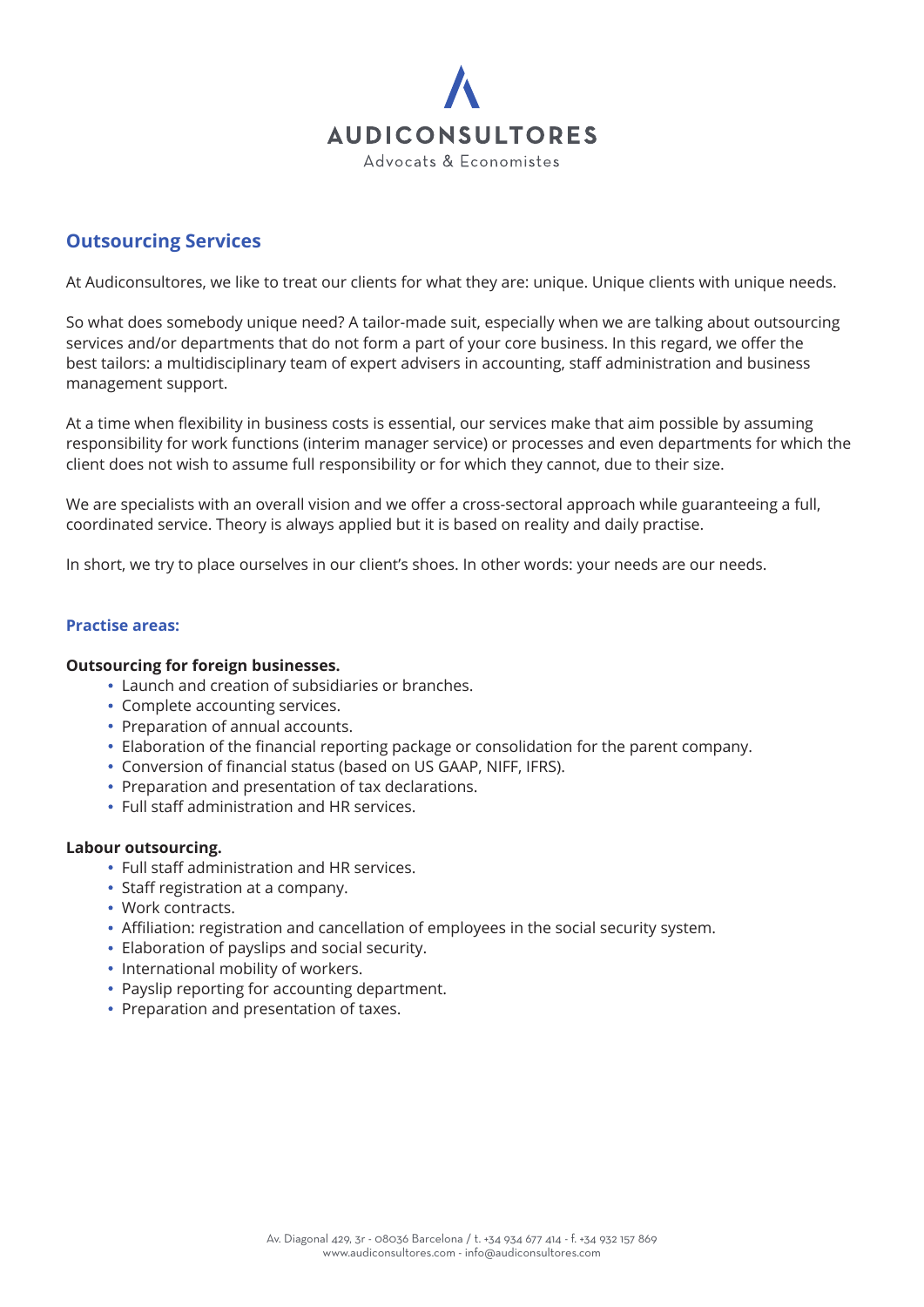

# **Outsourcing Services**

At Audiconsultores, we like to treat our clients for what they are: unique. Unique clients with unique needs.

So what does somebody unique need? A tailor-made suit, especially when we are talking about outsourcing services and/or departments that do not form a part of your core business. In this regard, we offer the best tailors: a multidisciplinary team of expert advisers in accounting, staff administration and business management support.

At a time when flexibility in business costs is essential, our services make that aim possible by assuming responsibility for work functions (interim manager service) or processes and even departments for which the client does not wish to assume full responsibility or for which they cannot, due to their size.

We are specialists with an overall vision and we offer a cross-sectoral approach while guaranteeing a full, coordinated service. Theory is always applied but it is based on reality and daily practise.

In short, we try to place ourselves in our client's shoes. In other words: your needs are our needs.

### **Practise areas:**

#### **Outsourcing for foreign businesses.**

- Launch and creation of subsidiaries or branches.
- Complete accounting services.
- Preparation of annual accounts.
- Elaboration of the financial reporting package or consolidation for the parent company.
- Conversion of financial status (based on US GAAP, NIFF, IFRS).
- Preparation and presentation of tax declarations.
- Full staff administration and HR services.

#### **Labour outsourcing.**

- Full staff administration and HR services.
- Staff registration at a company.
- Work contracts.
- Affiliation: registration and cancellation of employees in the social security system.
- Elaboration of payslips and social security.
- International mobility of workers.
- Payslip reporting for accounting department.
- Preparation and presentation of taxes.